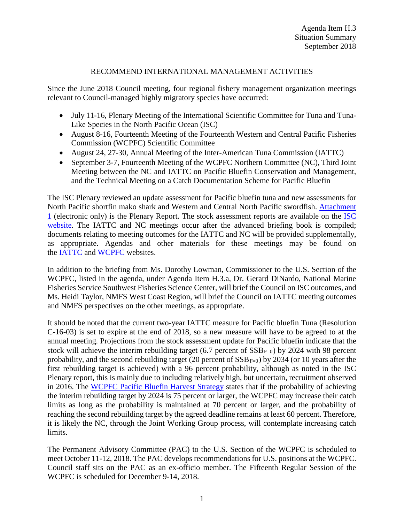# RECOMMEND INTERNATIONAL MANAGEMENT ACTIVITIES

Since the June 2018 Council meeting, four regional fishery management organization meetings relevant to Council-managed highly migratory species have occurred:

- July 11-16, Plenary Meeting of the International Scientific Committee for Tuna and Tuna-Like Species in the North Pacific Ocean (ISC)
- August 8-16, Fourteenth Meeting of the Fourteenth Western and Central Pacific Fisheries Commission (WCPFC) Scientific Committee
- August 24, 27-30, Annual Meeting of the Inter-American Tuna Commission (IATTC)
- September 3-7, Fourteenth Meeting of the WCPFC Northern Committee (NC), Third Joint Meeting between the NC and IATTC on Pacific Bluefin Conservation and Management, and the Technical Meeting on a Catch Documentation Scheme for Pacific Bluefin

The ISC Plenary reviewed an update assessment for Pacific bluefin tuna and new assessments for North Pacific shortfin mako shark and Western and Central North Pacific swordfish. [Attachment](http://isc.fra.go.jp/pdf/ISC18/ISC18_Report_Final_05Aug2018.pdf)  [1](http://isc.fra.go.jp/pdf/ISC18/ISC18_Report_Final_05Aug2018.pdf) (electronic only) is the Plenary Report. The stock assessment reports are available on the [ISC](http://isc.fra.go.jp/reports/isc/isc18_reports.html)  [website.](http://isc.fra.go.jp/reports/isc/isc18_reports.html) The IATTC and NC meetings occur after the advanced briefing book is compiled; documents relating to meeting outcomes for the IATTC and NC will be provided supplementally, as appropriate. Agendas and other materials for these meetings may be found on the [IATTC](http://www.iattc.org/Meetings/Meetings2018/IATTC-93/IATTC-AIDCP-Annual-Meetings-AUG2018ENG.htm) and [WCPFC](https://www.wcpfc.int/meetings) websites.

In addition to the briefing from Ms. Dorothy Lowman, Commissioner to the U.S. Section of the WCPFC, listed in the agenda, under Agenda Item H.3.a, Dr. Gerard DiNardo, National Marine Fisheries Service Southwest Fisheries Science Center, will brief the Council on ISC outcomes, and Ms. Heidi Taylor, NMFS West Coast Region, will brief the Council on IATTC meeting outcomes and NMFS perspectives on the other meetings, as appropriate.

It should be noted that the current two-year IATTC measure for Pacific bluefin Tuna (Resolution C-16-03) is set to expire at the end of 2018, so a new measure will have to be agreed to at the annual meeting. Projections from the stock assessment update for Pacific bluefin indicate that the stock will achieve the interim rebuilding target (6.7 percent of  $SSB_{F=0}$ ) by 2024 with 98 percent probability, and the second rebuilding target (20 percent of  $SSB_{F=0}$ ) by 2034 (or 10 years after the first rebuilding target is achieved) with a 96 percent probability, although as noted in the ISC Plenary report, this is mainly due to including relatively high, but uncertain, recruitment observed in 2016. The [WCPFC Pacific Bluefin Harvest Strategy](https://www.wcpfc.int/harvest-strategy) states that if the probability of achieving the interim rebuilding target by 2024 is 75 percent or larger, the WCPFC may increase their catch limits as long as the probability is maintained at 70 percent or larger, and the probability of reaching the second rebuilding target by the agreed deadline remains at least 60 percent. Therefore, it is likely the NC, through the Joint Working Group process, will contemplate increasing catch limits.

The Permanent Advisory Committee (PAC) to the U.S. Section of the WCPFC is scheduled to meet October 11-12, 2018. The PAC develops recommendations for U.S. positions at the WCPFC. Council staff sits on the PAC as an ex-officio member. The Fifteenth Regular Session of the WCPFC is scheduled for December 9-14, 2018.